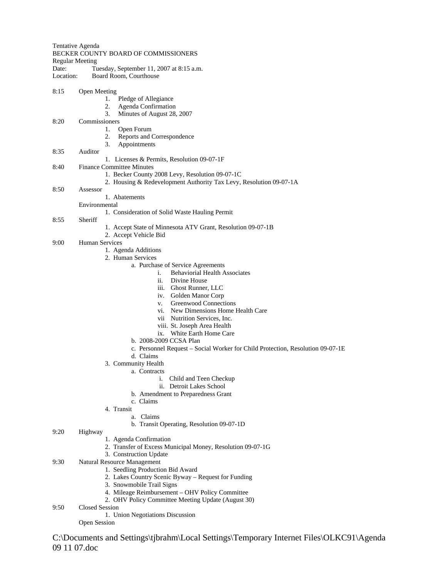Tentative Agenda BECKER COUNTY BOARD OF COMMISSIONERS Regular Meeting Date: Tuesday, September 11, 2007 at 8:15 a.m. Location: Board Room, Courthouse 8:15 Open Meeting 1. Pledge of Allegiance 2. Agenda Confirmation 3. Minutes of August 28, 2007 8:20 Commissioners 1. Open Forum 2. Reports and Correspondence 3. Appointments 8:35 Auditor 1. Licenses & Permits, Resolution 09-07-1F 8:40 Finance Committee Minutes 1. Becker County 2008 Levy, Resolution 09-07-1C 2. Housing & Redevelopment Authority Tax Levy, Resolution 09-07-1A 8:50 Assessor 1. Abatements Environmental 1. Consideration of Solid Waste Hauling Permit 8:55 Sheriff 1. Accept State of Minnesota ATV Grant, Resolution 09-07-1B 2. Accept Vehicle Bid 9:00 Human Services 1. Agenda Additions 2. Human Services a. Purchase of Service Agreements i. Behaviorial Health Associates ii. Divine House iii. Ghost Runner, LLC iv. Golden Manor Corp v. Greenwood Connections vi. New Dimensions Home Health Care vii Nutrition Services, Inc. viii. St. Joseph Area Health ix. White Earth Home Care b. 2008-2009 CCSA Plan c. Personnel Request – Social Worker for Child Protection, Resolution 09-07-1E d. Claims 3. Community Health a. Contracts i. Child and Teen Checkup ii. Detroit Lakes School b. Amendment to Preparedness Grant c. Claims 4. Transit a. Claims b. Transit Operating, Resolution 09-07-1D 9:20 Highway 1. Agenda Confirmation 2. Transfer of Excess Municipal Money, Resolution 09-07-1G 3. Construction Update 9:30 Natural Resource Management 1. Seedling Production Bid Award

- 2. Lakes Country Scenic Byway Request for Funding
- 3. Snowmobile Trail Signs
- 4. Mileage Reimbursement OHV Policy Committee
- 2. OHV Policy Committee Meeting Update (August 30)
- 9:50 Closed Session
	- 1. Union Negotiations Discussion

Open Session

C:\Documents and Settings\tjbrahm\Local Settings\Temporary Internet Files\OLKC91\Agenda 09 11 07.doc